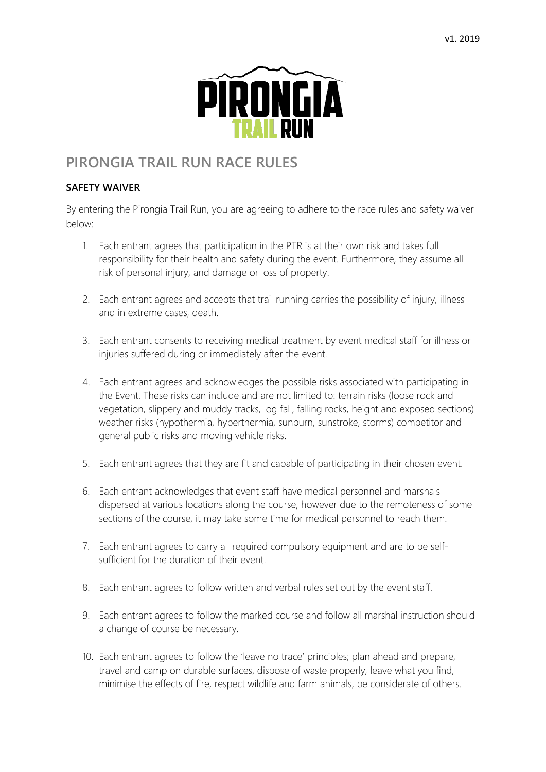

## **PIRONGIA TRAIL RUN RACE RULES**

## **SAFETY WAIVER**

By entering the Pirongia Trail Run, you are agreeing to adhere to the race rules and safety waiver below:

- 1. Each entrant agrees that participation in the PTR is at their own risk and takes full responsibility for their health and safety during the event. Furthermore, they assume all risk of personal injury, and damage or loss of property.
- 2. Each entrant agrees and accepts that trail running carries the possibility of injury, illness and in extreme cases, death.
- 3. Each entrant consents to receiving medical treatment by event medical staff for illness or injuries suffered during or immediately after the event.
- 4. Each entrant agrees and acknowledges the possible risks associated with participating in the Event. These risks can include and are not limited to: terrain risks (loose rock and vegetation, slippery and muddy tracks, log fall, falling rocks, height and exposed sections) weather risks (hypothermia, hyperthermia, sunburn, sunstroke, storms) competitor and general public risks and moving vehicle risks.
- 5. Each entrant agrees that they are fit and capable of participating in their chosen event.
- 6. Each entrant acknowledges that event staff have medical personnel and marshals dispersed at various locations along the course, however due to the remoteness of some sections of the course, it may take some time for medical personnel to reach them.
- 7. Each entrant agrees to carry all required compulsory equipment and are to be selfsufficient for the duration of their event.
- 8. Each entrant agrees to follow written and verbal rules set out by the event staff.
- 9. Each entrant agrees to follow the marked course and follow all marshal instruction should a change of course be necessary.
- 10. Each entrant agrees to follow the 'leave no trace' principles; plan ahead and prepare, travel and camp on durable surfaces, dispose of waste properly, leave what you find, minimise the effects of fire, respect wildlife and farm animals, be considerate of others.